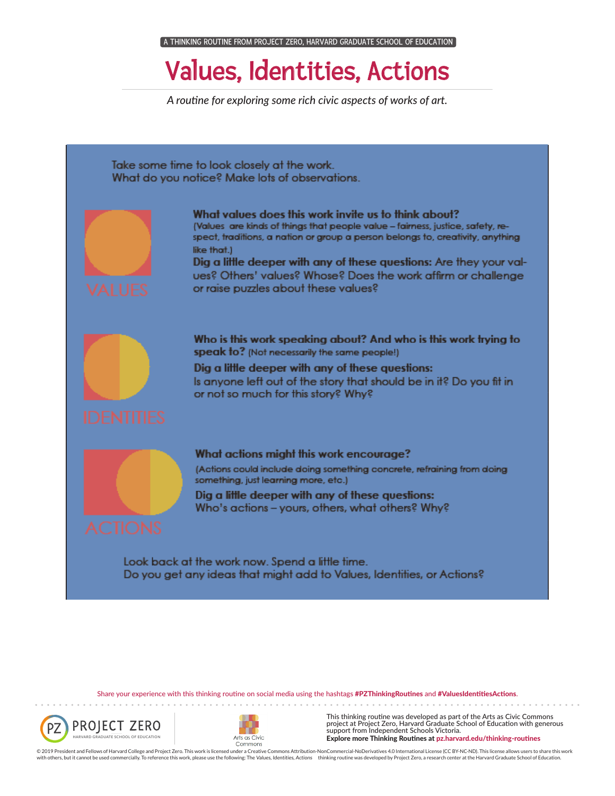## Values, Identities, Actions

*A routine for exploring some rich civic aspects of works of art.*



Share your experience with this thinking routine on social media using the hashtags #PZThinkingRoutines and #ValuesIdentitiesActions.

. . . . . . . . . . . .





This thinking routine was developed as part of the Arts as Civic Commons project at Project Zero, Harvard Graduate School of Education with generous support from Independent Schools Victoria. Explore more Thinking Routines at pz.harvard.edu/thinking-routines

© 2019 President and Fellows of Harvard College and Project Zero. This work is licensed under a Creative Commons Attribution-NonCommercial-NoDerivatives 4.0 International License (CC BY-NC-ND). This license allows users to with others, but it cannot be used commercially. To reference this work, please use the following: The Values, Identities, Actions thinking routine was developed by Project Zero, a research center at the Harvard Graduate S